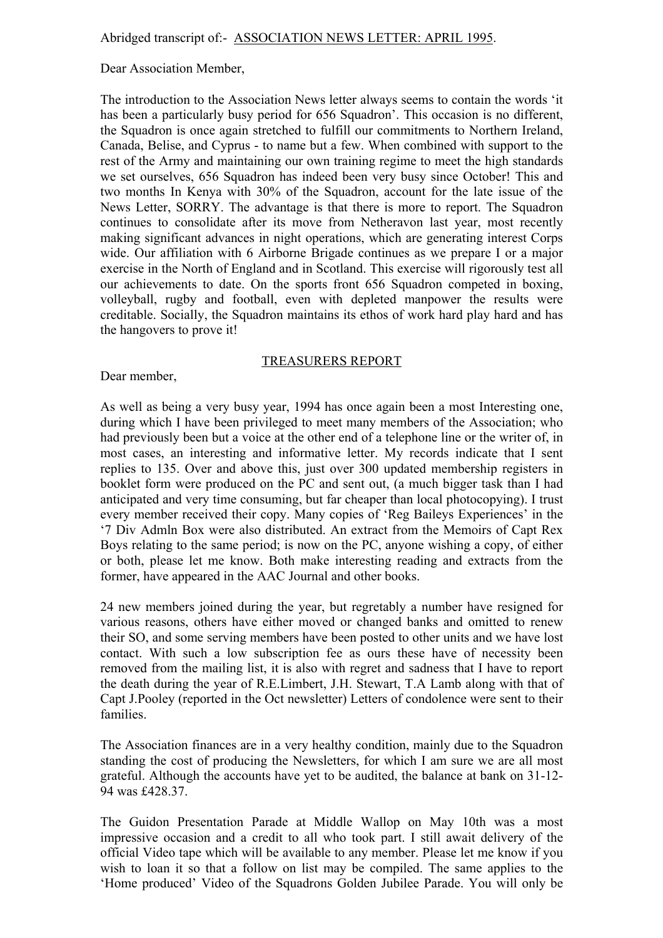Dear Association Member,

The introduction to the Association News letter always seems to contain the words 'it has been a particularly busy period for 656 Squadron'. This occasion is no different, the Squadron is once again stretched to fulfill our commitments to Northern Ireland, Canada, Belise, and Cyprus - to name but a few. When combined with support to the rest of the Army and maintaining our own training regime to meet the high standards we set ourselves, 656 Squadron has indeed been very busy since October! This and two months In Kenya with 30% of the Squadron, account for the late issue of the News Letter, SORRY. The advantage is that there is more to report. The Squadron continues to consolidate after its move from Netheravon last year, most recently making significant advances in night operations, which are generating interest Corps wide. Our affiliation with 6 Airborne Brigade continues as we prepare I or a major exercise in the North of England and in Scotland. This exercise will rigorously test all our achievements to date. On the sports front 656 Squadron competed in boxing, volleyball, rugby and football, even with depleted manpower the results were creditable. Socially, the Squadron maintains its ethos of work hard play hard and has the hangovers to prove it!

### TREASURERS REPORT

Dear member,

As well as being a very busy year, 1994 has once again been a most Interesting one, during which I have been privileged to meet many members of the Association; who had previously been but a voice at the other end of a telephone line or the writer of, in most cases, an interesting and informative letter. My records indicate that I sent replies to 135. Over and above this, just over 300 updated membership registers in booklet form were produced on the PC and sent out, (a much bigger task than I had anticipated and very time consuming, but far cheaper than local photocopying). I trust every member received their copy. Many copies of 'Reg Baileys Experiences' in the '7 Div Admln Box were also distributed. An extract from the Memoirs of Capt Rex Boys relating to the same period; is now on the PC, anyone wishing a copy, of either or both, please let me know. Both make interesting reading and extracts from the former, have appeared in the AAC Journal and other books.

24 new members joined during the year, but regretably a number have resigned for various reasons, others have either moved or changed banks and omitted to renew their SO, and some serving members have been posted to other units and we have lost contact. With such a low subscription fee as ours these have of necessity been removed from the mailing list, it is also with regret and sadness that I have to report the death during the year of R.E.Limbert, J.H. Stewart, T.A Lamb along with that of Capt J.Pooley (reported in the Oct newsletter) Letters of condolence were sent to their families.

The Association finances are in a very healthy condition, mainly due to the Squadron standing the cost of producing the Newsletters, for which I am sure we are all most grateful. Although the accounts have yet to be audited, the balance at bank on 31-12- 94 was £428.37.

The Guidon Presentation Parade at Middle Wallop on May 10th was a most impressive occasion and a credit to all who took part. I still await delivery of the official Video tape which will be available to any member. Please let me know if you wish to loan it so that a follow on list may be compiled. The same applies to the 'Home produced' Video of the Squadrons Golden Jubilee Parade. You will only be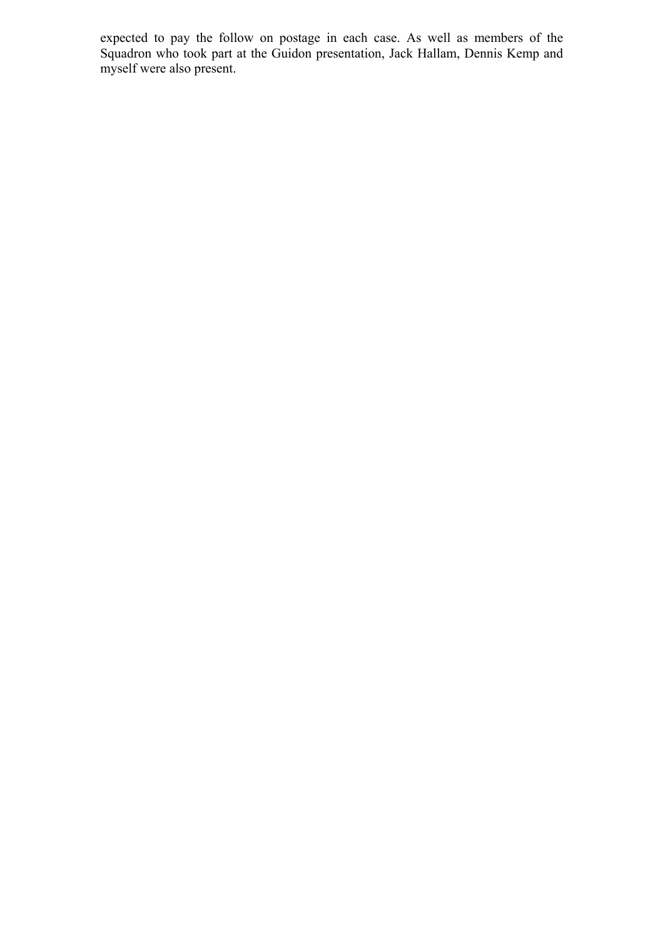expected to pay the follow on postage in each case. As well as members of the Squadron who took part at the Guidon presentation, Jack Hallam, Dennis Kemp and myself were also present.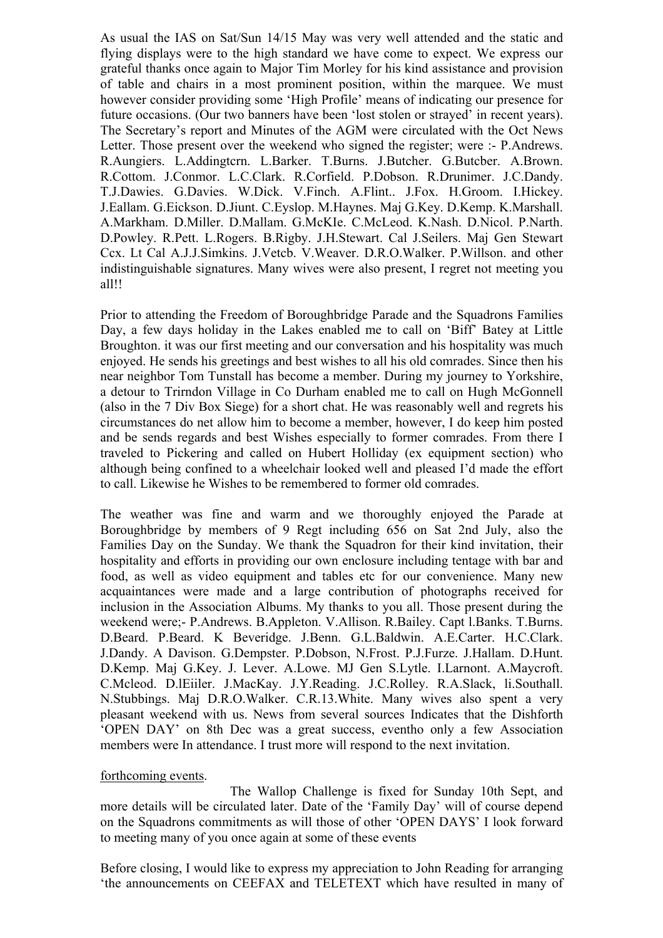As usual the IAS on Sat/Sun 14/15 May was very well attended and the static and flying displays were to the high standard we have come to expect. We express our grateful thanks once again to Major Tim Morley for his kind assistance and provision of table and chairs in a most prominent position, within the marquee. We must however consider providing some 'High Profile' means of indicating our presence for future occasions. (Our two banners have been 'lost stolen or strayed' in recent years). The Secretary's report and Minutes of the AGM were circulated with the Oct News Letter. Those present over the weekend who signed the register; were :- P.Andrews. R.Aungiers. L.Addingtcrn. L.Barker. T.Burns. J.Butcher. G.Butcber. A.Brown. R.Cottom. J.Conmor. L.C.Clark. R.Corfield. P.Dobson. R.Drunimer. J.C.Dandy. T.J.Dawies. G.Davies. W.Dick. V.Finch. A.Flint.. J.Fox. H.Groom. I.Hickey. J.Eallam. G.Eickson. D.Jiunt. C.Eyslop. M.Haynes. Maj G.Key. D.Kemp. K.Marshall. A.Markham. D.Miller. D.Mallam. G.McKIe. C.McLeod. K.Nash. D.Nicol. P.Narth. D.Powley. R.Pett. L.Rogers. B.Rigby. J.H.Stewart. Cal J.Seilers. Maj Gen Stewart Ccx. Lt Cal A.J.J.Simkins. J.Vetcb. V.Weaver. D.R.O.Walker. P.Willson. and other indistinguishable signatures. Many wives were also present, I regret not meeting you all!!

Prior to attending the Freedom of Boroughbridge Parade and the Squadrons Families Day, a few days holiday in the Lakes enabled me to call on 'Biff' Batey at Little Broughton. it was our first meeting and our conversation and his hospitality was much enjoyed. He sends his greetings and best wishes to all his old comrades. Since then his near neighbor Tom Tunstall has become a member. During my journey to Yorkshire, a detour to Trirndon Village in Co Durham enabled me to call on Hugh McGonnell (also in the 7 Div Box Siege) for a short chat. He was reasonably well and regrets his circumstances do net allow him to become a member, however, I do keep him posted and be sends regards and best Wishes especially to former comrades. From there I traveled to Pickering and called on Hubert Holliday (ex equipment section) who although being confined to a wheelchair looked well and pleased I'd made the effort to call. Likewise he Wishes to be remembered to former old comrades.

The weather was fine and warm and we thoroughly enjoyed the Parade at Boroughbridge by members of 9 Regt including 656 on Sat 2nd July, also the Families Day on the Sunday. We thank the Squadron for their kind invitation, their hospitality and efforts in providing our own enclosure including tentage with bar and food, as well as video equipment and tables etc for our convenience. Many new acquaintances were made and a large contribution of photographs received for inclusion in the Association Albums. My thanks to you all. Those present during the weekend were;- P.Andrews. B.Appleton. V.Allison. R.Bailey. Capt l.Banks. T.Burns. D.Beard. P.Beard. K Beveridge. J.Benn. G.L.Baldwin. A.E.Carter. H.C.Clark. J.Dandy. A Davison. G.Dempster. P.Dobson, N.Frost. P.J.Furze. J.Hallam. D.Hunt. D.Kemp. Maj G.Key. J. Lever. A.Lowe. MJ Gen S.Lytle. I.Larnont. A.Maycroft. C.Mcleod. D.lEiiler. J.MacKay. J.Y.Reading. J.C.Rolley. R.A.Slack, li.Southall. N.Stubbings. Maj D.R.O.Walker. C.R.13.White. Many wives also spent a very pleasant weekend with us. News from several sources Indicates that the Dishforth 'OPEN DAY' on 8th Dec was a great success, eventho only a few Association members were In attendance. I trust more will respond to the next invitation.

#### forthcoming events.

The Wallop Challenge is fixed for Sunday 10th Sept, and more details will be circulated later. Date of the 'Family Day' will of course depend on the Squadrons commitments as will those of other 'OPEN DAYS' I look forward to meeting many of you once again at some of these events

Before closing, I would like to express my appreciation to John Reading for arranging 'the announcements on CEEFAX and TELETEXT which have resulted in many of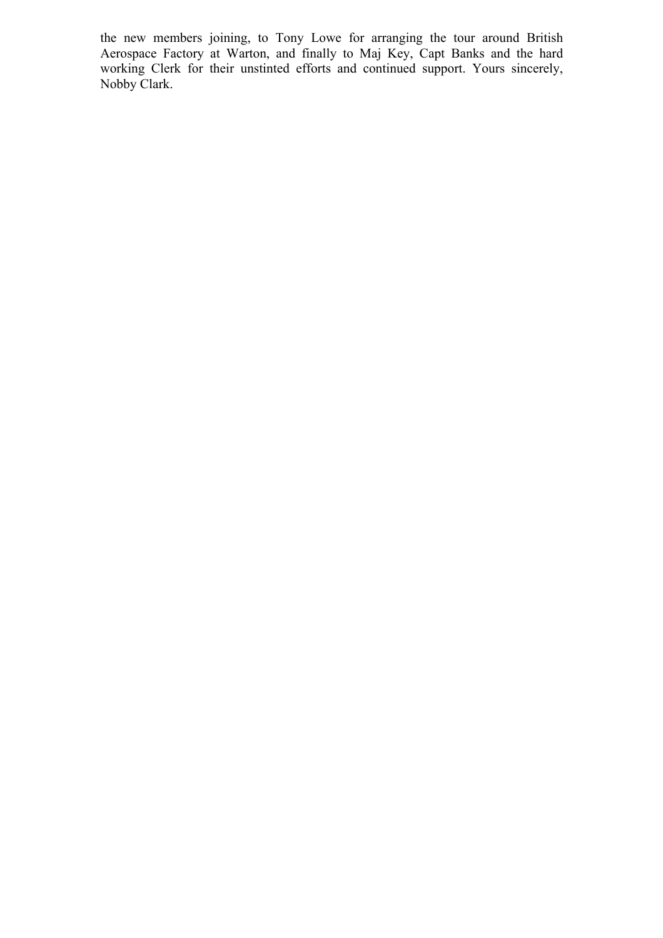the new members joining, to Tony Lowe for arranging the tour around British Aerospace Factory at Warton, and finally to Maj Key, Capt Banks and the hard working Clerk for their unstinted efforts and continued support. Yours sincerely, Nobby Clark.